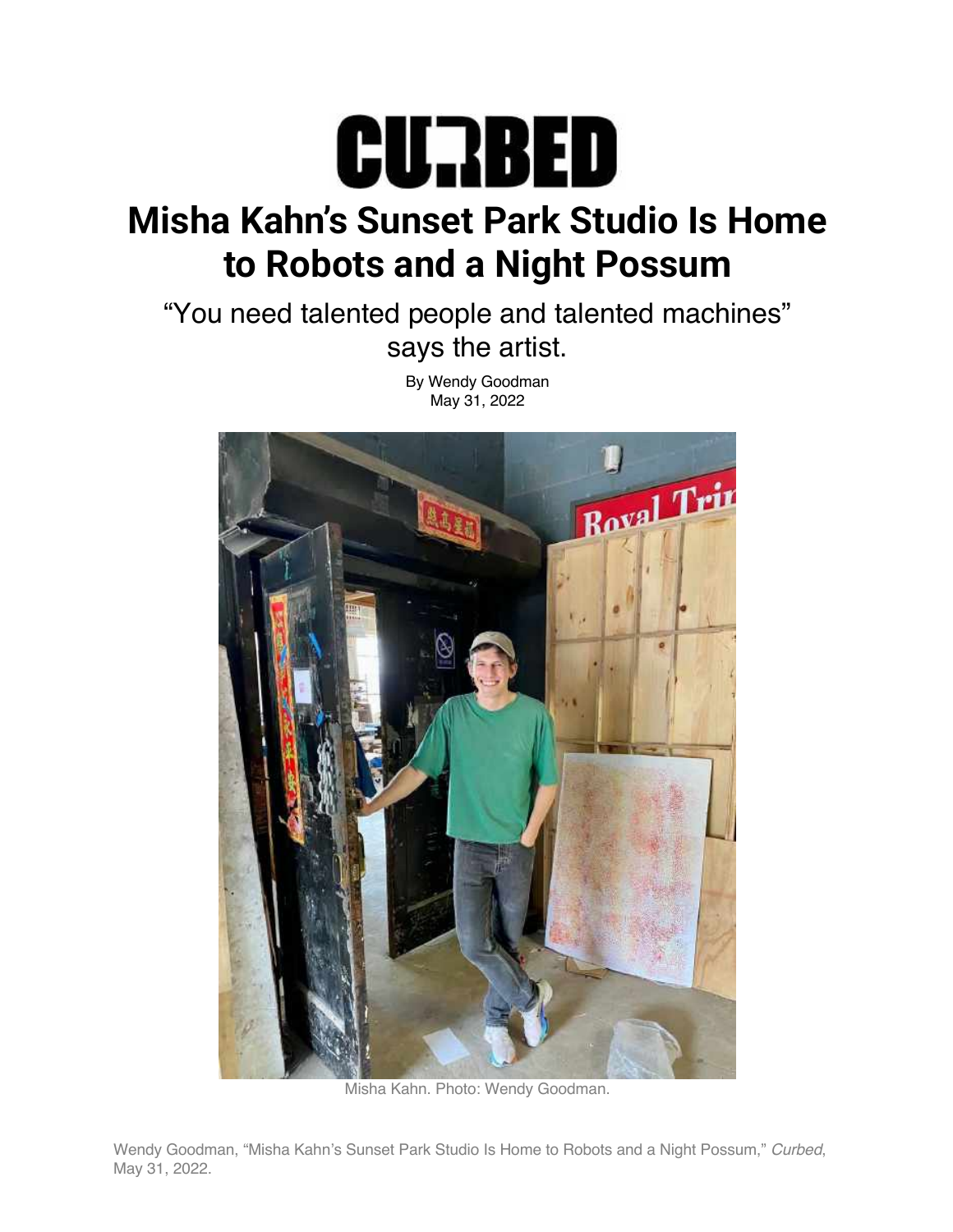

## **Misha Kahn's Sunset Park Studio Is Home to Robots and a Night Possum**

"You need talented people and talented machines" says the artist.

> By Wendy Goodman May 31, 2022



Misha Kahn. Photo: Wendy Goodman.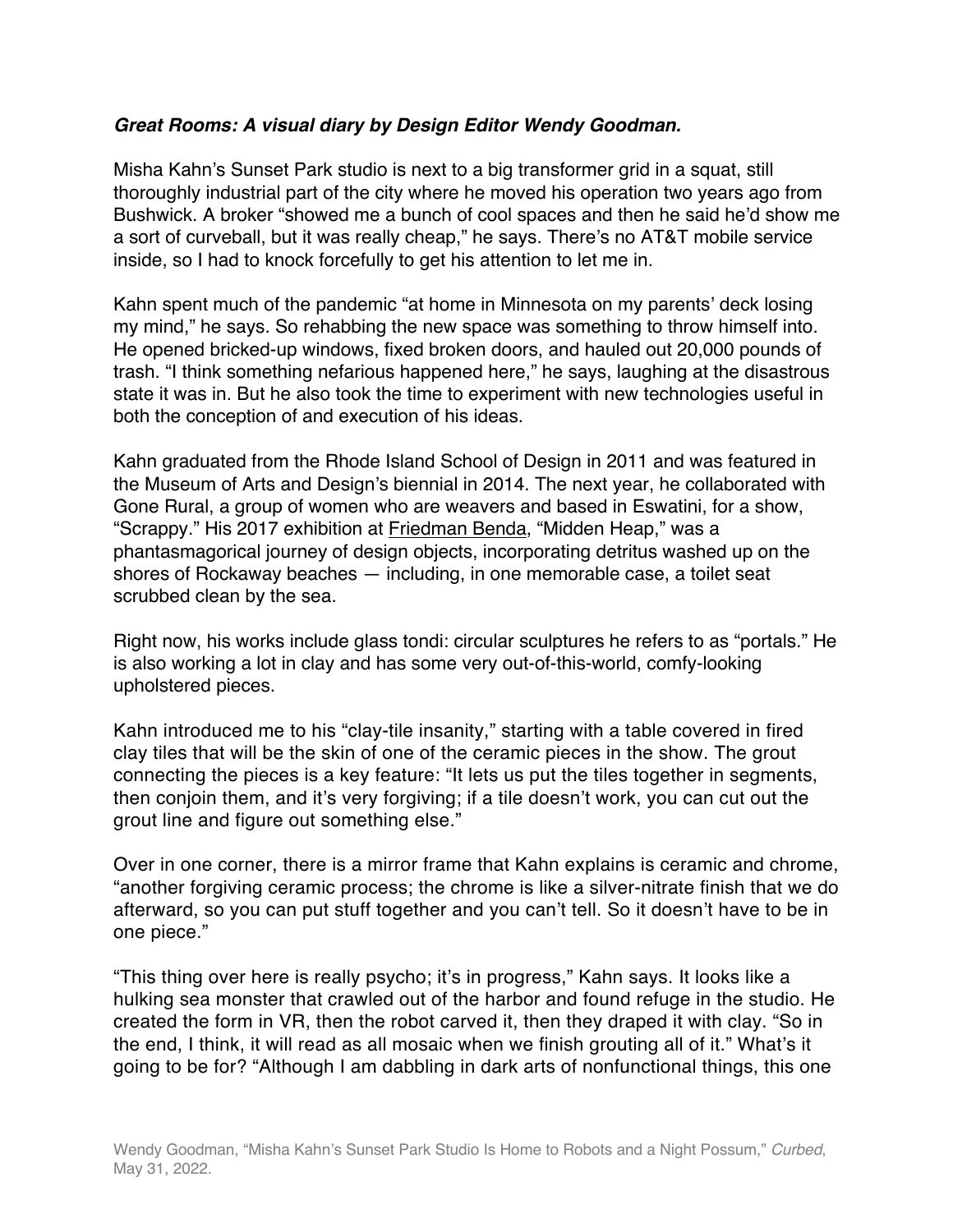## *Great Rooms: A visual diary by Design Editor Wendy Goodman.*

Misha Kahn's Sunset Park studio is next to a big transformer grid in a squat, still thoroughly industrial part of the city where he moved his operation two years ago from Bushwick. A broker "showed me a bunch of cool spaces and then he said he'd show me a sort of curveball, but it was really cheap," he says. There's no AT&T mobile service inside, so I had to knock forcefully to get his attention to let me in.

Kahn spent much of the pandemic "at home in Minnesota on my parents' deck losing my mind," he says. So rehabbing the new space was something to throw himself into. He opened bricked-up windows, fixed broken doors, and hauled out 20,000 pounds of trash. "I think something nefarious happened here," he says, laughing at the disastrous state it was in. But he also took the time to experiment with new technologies useful in both the conception of and execution of his ideas.

Kahn graduated from the Rhode Island School of Design in 2011 and was featured in the Museum of Arts and Design's biennial in 2014. The next year, he collaborated with Gone Rural, a group of women who are weavers and based in Eswatini, for a show, "Scrappy." His 2017 exhibition at Friedman Benda, "Midden Heap," was a phantasmagorical journey of design objects, incorporating detritus washed up on the shores of Rockaway beaches — including, in one memorable case, a toilet seat scrubbed clean by the sea.

Right now, his works include glass tondi: circular sculptures he refers to as "portals." He is also working a lot in clay and has some very out-of-this-world, comfy-looking upholstered pieces.

Kahn introduced me to his "clay-tile insanity," starting with a table covered in fired clay tiles that will be the skin of one of the ceramic pieces in the show. The grout connecting the pieces is a key feature: "It lets us put the tiles together in segments, then conjoin them, and it's very forgiving; if a tile doesn't work, you can cut out the grout line and figure out something else."

Over in one corner, there is a mirror frame that Kahn explains is ceramic and chrome, "another forgiving ceramic process; the chrome is like a silver-nitrate finish that we do afterward, so you can put stuff together and you can't tell. So it doesn't have to be in one piece."

"This thing over here is really psycho; it's in progress," Kahn says. It looks like a hulking sea monster that crawled out of the harbor and found refuge in the studio. He created the form in VR, then the robot carved it, then they draped it with clay. "So in the end, I think, it will read as all mosaic when we finish grouting all of it." What's it going to be for? "Although I am dabbling in dark arts of nonfunctional things, this one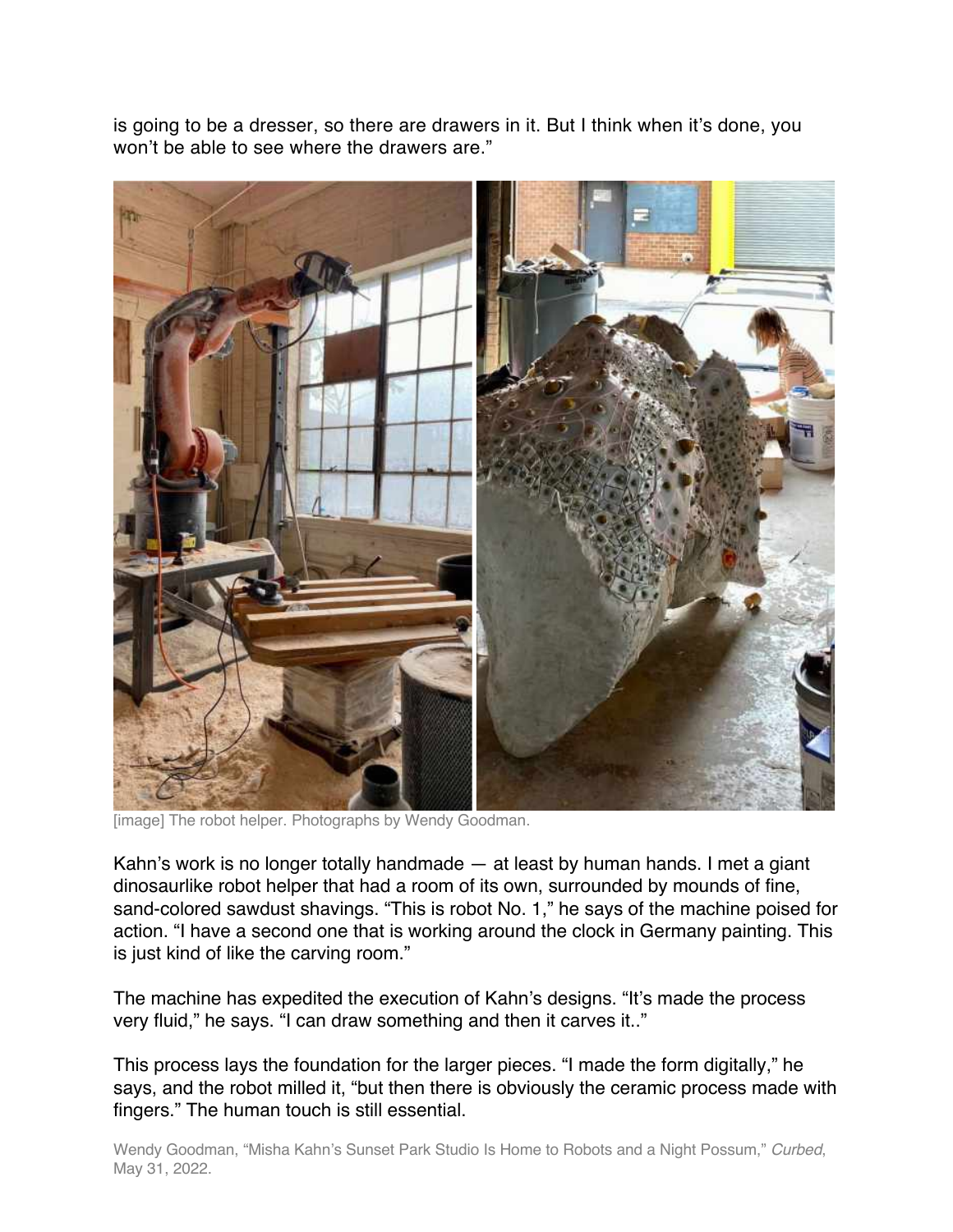is going to be a dresser, so there are drawers in it. But I think when it's done, you won't be able to see where the drawers are."



[image] The robot helper. Photographs by Wendy Goodman.

Kahn's work is no longer totally handmade — at least by human hands. I met a giant dinosaurlike robot helper that had a room of its own, surrounded by mounds of fine, sand-colored sawdust shavings. "This is robot No. 1," he says of the machine poised for action. "I have a second one that is working around the clock in Germany painting. This is just kind of like the carving room."

The machine has expedited the execution of Kahn's designs. "It's made the process very fluid," he says. "I can draw something and then it carves it.."

This process lays the foundation for the larger pieces. "I made the form digitally," he says, and the robot milled it, "but then there is obviously the ceramic process made with fingers." The human touch is still essential.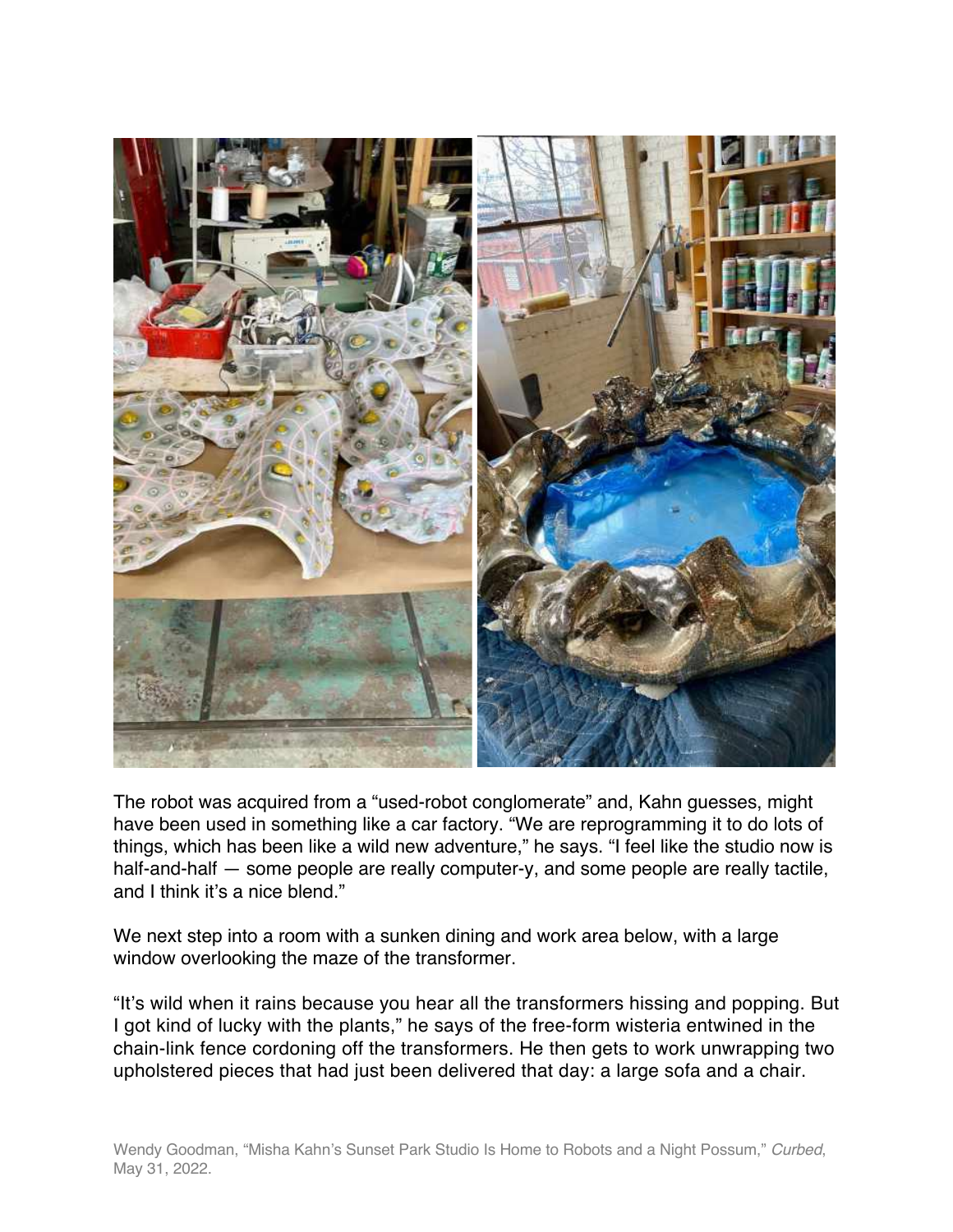

The robot was acquired from a "used-robot conglomerate" and, Kahn guesses, might have been used in something like a car factory. "We are reprogramming it to do lots of things, which has been like a wild new adventure," he says. "I feel like the studio now is half-and-half — some people are really computer-y, and some people are really tactile, and I think it's a nice blend."

We next step into a room with a sunken dining and work area below, with a large window overlooking the maze of the transformer.

"It's wild when it rains because you hear all the transformers hissing and popping. But I got kind of lucky with the plants," he says of the free-form wisteria entwined in the chain-link fence cordoning off the transformers. He then gets to work unwrapping two upholstered pieces that had just been delivered that day: a large sofa and a chair.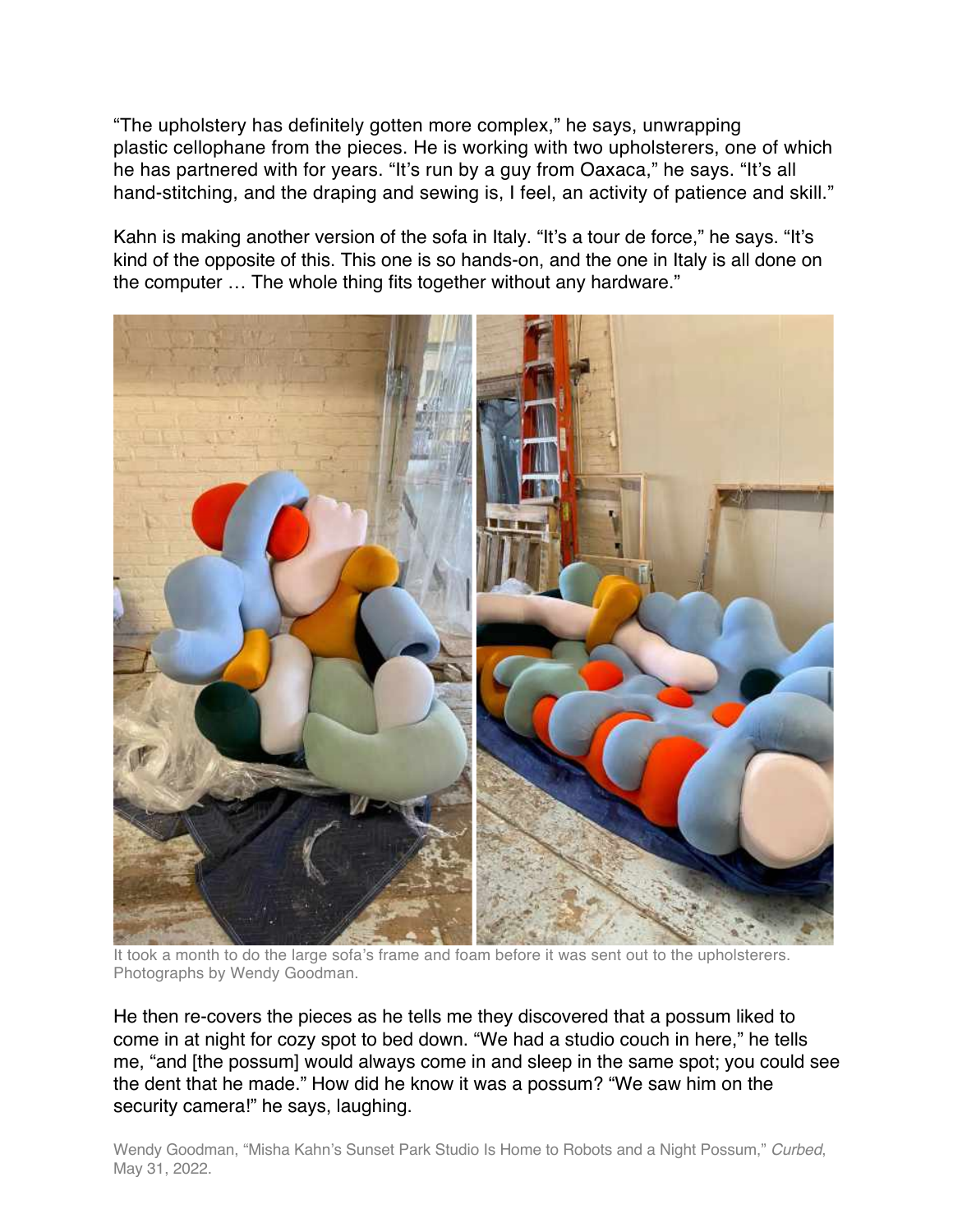"The upholstery has definitely gotten more complex," he says, unwrapping plastic cellophane from the pieces. He is working with two upholsterers, one of which he has partnered with for years. "It's run by a guy from Oaxaca," he says. "It's all hand-stitching, and the draping and sewing is, I feel, an activity of patience and skill."

Kahn is making another version of the sofa in Italy. "It's a tour de force," he says. "It's kind of the opposite of this. This one is so hands-on, and the one in Italy is all done on the computer … The whole thing fits together without any hardware."



It took a month to do the large sofa's frame and foam before it was sent out to the upholsterers. Photographs by Wendy Goodman.

He then re-covers the pieces as he tells me they discovered that a possum liked to come in at night for cozy spot to bed down. "We had a studio couch in here," he tells me, "and [the possum] would always come in and sleep in the same spot; you could see the dent that he made." How did he know it was a possum? "We saw him on the security camera!" he says, laughing.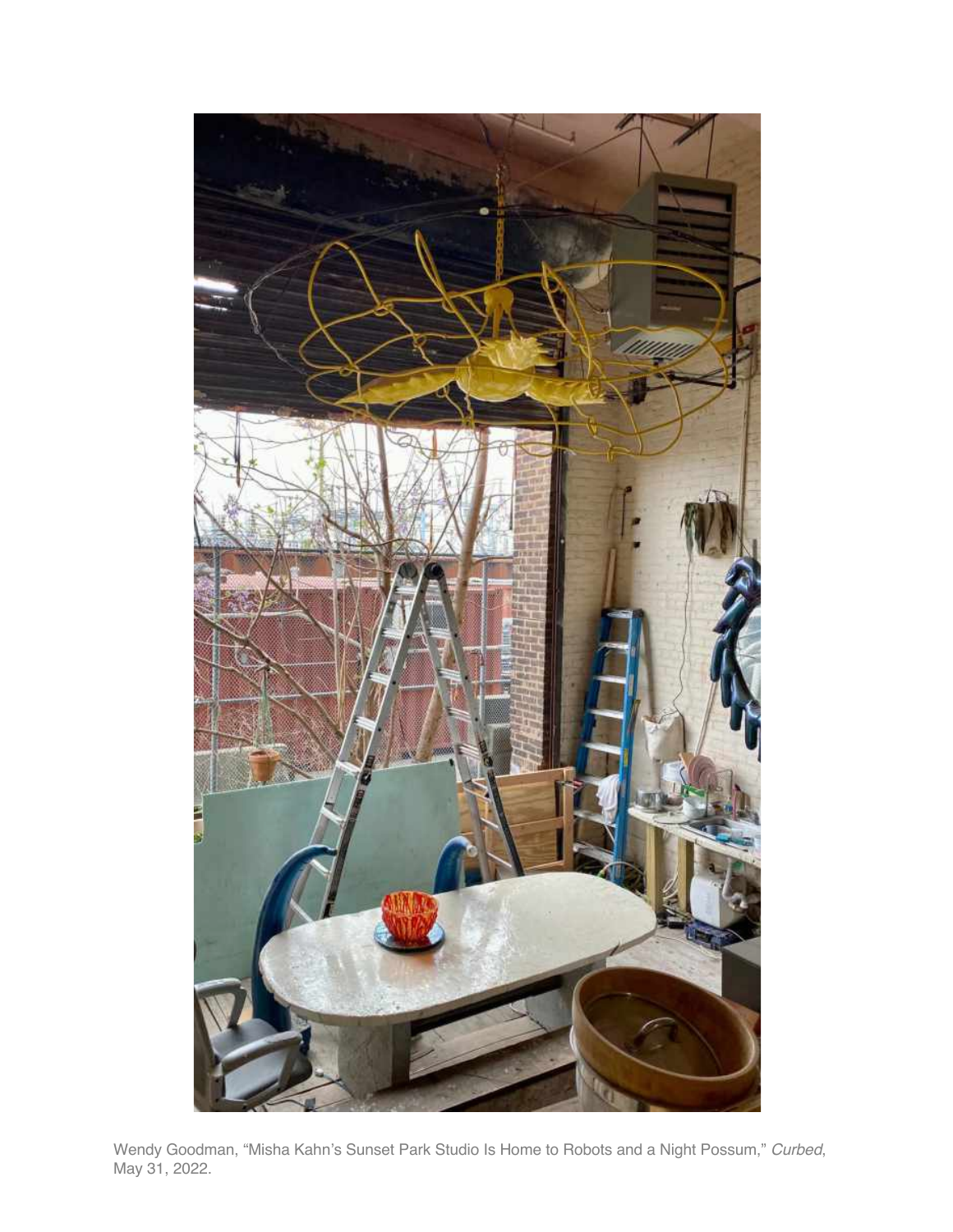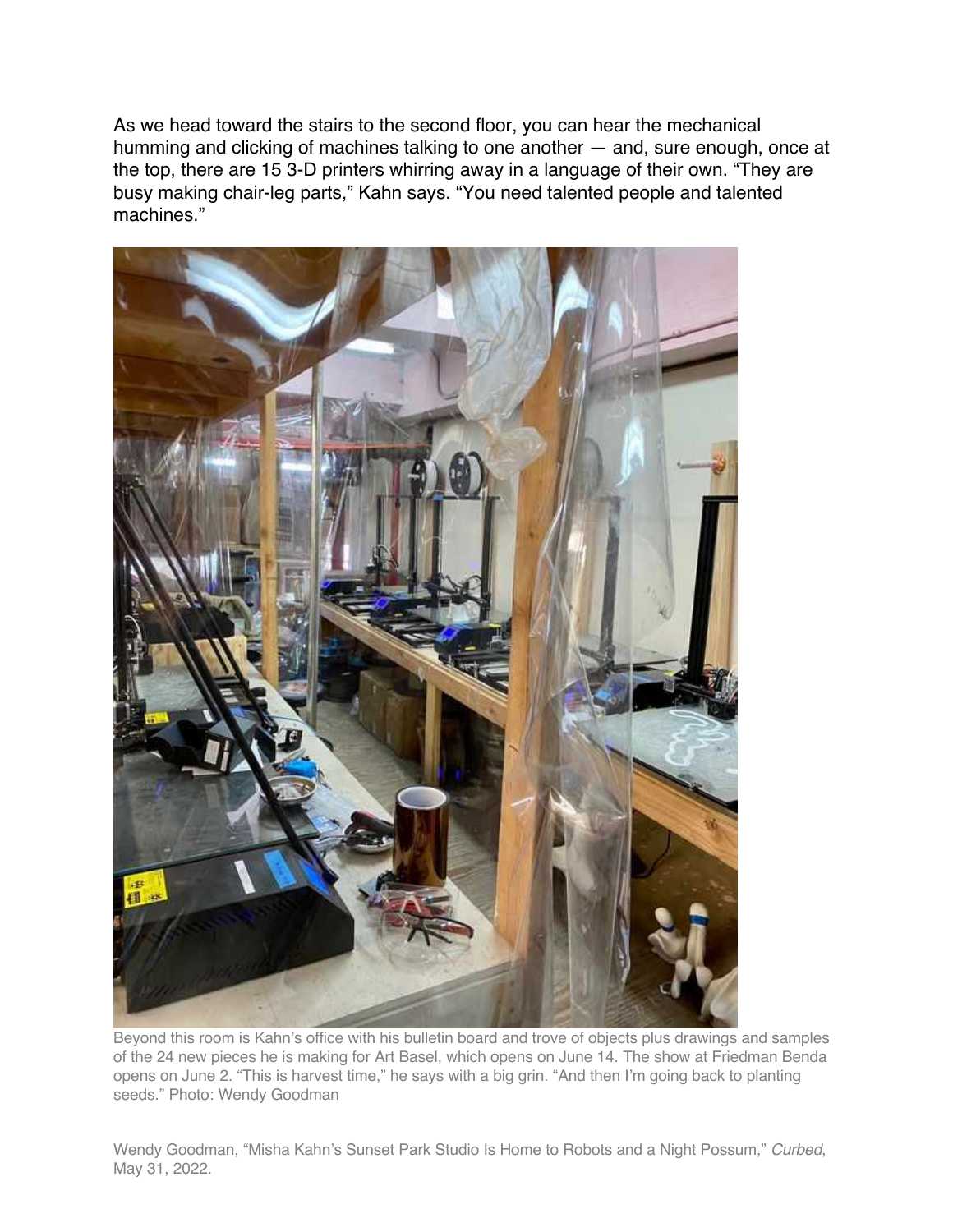As we head toward the stairs to the second floor, you can hear the mechanical humming and clicking of machines talking to one another — and, sure enough, once at the top, there are 15 3-D printers whirring away in a language of their own. "They are busy making chair-leg parts," Kahn says. "You need talented people and talented machines."



Beyond this room is Kahn's office with his bulletin board and trove of objects plus drawings and samples of the 24 new pieces he is making for Art Basel, which opens on June 14. The show at Friedman Benda opens on June 2. "This is harvest time," he says with a big grin. "And then I'm going back to planting seeds." Photo: Wendy Goodman